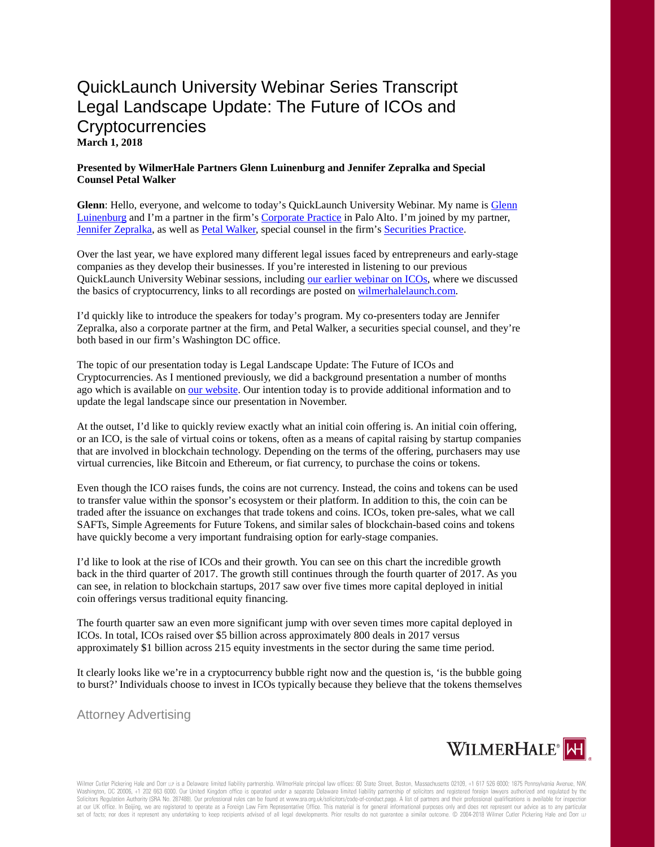## QuickLaunch University Webinar Series Transcript Legal Landscape Update: The Future of ICOs and **Cryptocurrencies March 1, 2018**

## **Presented by WilmerHale Partners Glenn Luinenburg and Jennifer Zepralka and Special Counsel Petal Walker**

**Glenn**: Hello, everyone, and welcome to today's QuickLaunch University Webinar. My name is [Glenn](https://launch.wilmerhale.com/meet-our-team/glenn-luinenburg/)  [Luinenburg](https://launch.wilmerhale.com/meet-our-team/glenn-luinenburg/) and I'm a partner in the firm's [Corporate Practice](https://www.wilmerhale.com/corporate/) in Palo Alto. I'm joined by my partner, [Jennifer Zepralka,](https://launch.wilmerhale.com/meet-our-team/jennifer-zepralka/) as well a[s Petal Walker,](https://www.wilmerhale.com/petal_walker/) special counsel in the firm's [Securities Practice.](https://www.wilmerhale.com/securities/)

Over the last year, we have explored many different legal issues faced by entrepreneurs and early-stage companies as they develop their businesses. If you're interested in listening to our previous QuickLaunch University Webinar sessions, includin[g our earlier webinar on ICOs,](https://launch.wilmerhale.com/research/event-detail/?id=17179885385&category=&industry=®ion=&year=) where we discussed the basics of cryptocurrency, links to all recordings are posted o[n wilmerhalelaunch.com.](http://www.wilmerhalelaunch.com/)

I'd quickly like to introduce the speakers for today's program. My co-presenters today are Jennifer Zepralka, also a corporate partner at the firm, and Petal Walker, a securities special counsel, and they're both based in our firm's Washington DC office.

The topic of our presentation today is Legal Landscape Update: The Future of ICOs and Cryptocurrencies. As I mentioned previously, we did a background presentation a number of months ago which is available on [our website.](https://launch.wilmerhale.com/research/event-detail/?id=17179885385&category=&industry=®ion=&year=) Our intention today is to provide additional information and to update the legal landscape since our presentation in November.

At the outset, I'd like to quickly review exactly what an initial coin offering is. An initial coin offering, or an ICO, is the sale of virtual coins or tokens, often as a means of capital raising by startup companies that are involved in blockchain technology. Depending on the terms of the offering, purchasers may use virtual currencies, like Bitcoin and Ethereum, or fiat currency, to purchase the coins or tokens.

Even though the ICO raises funds, the coins are not currency. Instead, the coins and tokens can be used to transfer value within the sponsor's ecosystem or their platform. In addition to this, the coin can be traded after the issuance on exchanges that trade tokens and coins. ICOs, token pre-sales, what we call SAFTs, Simple Agreements for Future Tokens, and similar sales of blockchain-based coins and tokens have quickly become a very important fundraising option for early-stage companies.

I'd like to look at the rise of ICOs and their growth. You can see on this chart the incredible growth back in the third quarter of 2017. The growth still continues through the fourth quarter of 2017. As you can see, in relation to blockchain startups, 2017 saw over five times more capital deployed in initial coin offerings versus traditional equity financing.

The fourth quarter saw an even more significant jump with over seven times more capital deployed in ICOs. In total, ICOs raised over \$5 billion across approximately 800 deals in 2017 versus approximately \$1 billion across 215 equity investments in the sector during the same time period.

It clearly looks like we're in a cryptocurrency bubble right now and the question is, 'is the bubble going to burst?' Individuals choose to invest in ICOs typically because they believe that the tokens themselves

Attorney Advertising

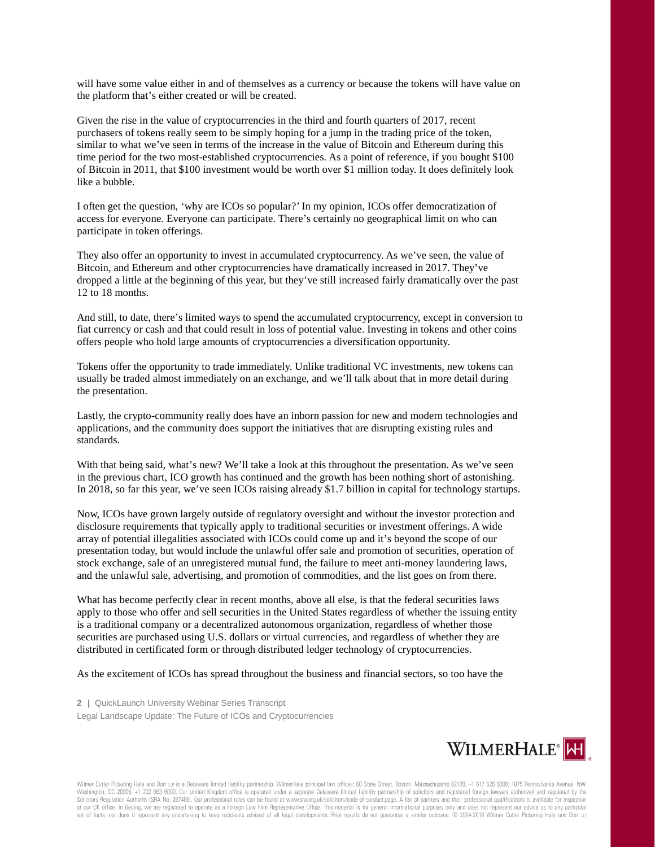will have some value either in and of themselves as a currency or because the tokens will have value on the platform that's either created or will be created.

Given the rise in the value of cryptocurrencies in the third and fourth quarters of 2017, recent purchasers of tokens really seem to be simply hoping for a jump in the trading price of the token, similar to what we've seen in terms of the increase in the value of Bitcoin and Ethereum during this time period for the two most-established cryptocurrencies. As a point of reference, if you bought \$100 of Bitcoin in 2011, that \$100 investment would be worth over \$1 million today. It does definitely look like a bubble.

I often get the question, 'why are ICOs so popular?' In my opinion, ICOs offer democratization of access for everyone. Everyone can participate. There's certainly no geographical limit on who can participate in token offerings.

They also offer an opportunity to invest in accumulated cryptocurrency. As we've seen, the value of Bitcoin, and Ethereum and other cryptocurrencies have dramatically increased in 2017. They've dropped a little at the beginning of this year, but they've still increased fairly dramatically over the past 12 to 18 months.

And still, to date, there's limited ways to spend the accumulated cryptocurrency, except in conversion to fiat currency or cash and that could result in loss of potential value. Investing in tokens and other coins offers people who hold large amounts of cryptocurrencies a diversification opportunity.

Tokens offer the opportunity to trade immediately. Unlike traditional VC investments, new tokens can usually be traded almost immediately on an exchange, and we'll talk about that in more detail during the presentation.

Lastly, the crypto-community really does have an inborn passion for new and modern technologies and applications, and the community does support the initiatives that are disrupting existing rules and standards.

With that being said, what's new? We'll take a look at this throughout the presentation. As we've seen in the previous chart, ICO growth has continued and the growth has been nothing short of astonishing. In 2018, so far this year, we've seen ICOs raising already \$1.7 billion in capital for technology startups.

Now, ICOs have grown largely outside of regulatory oversight and without the investor protection and disclosure requirements that typically apply to traditional securities or investment offerings. A wide array of potential illegalities associated with ICOs could come up and it's beyond the scope of our presentation today, but would include the unlawful offer sale and promotion of securities, operation of stock exchange, sale of an unregistered mutual fund, the failure to meet anti-money laundering laws, and the unlawful sale, advertising, and promotion of commodities, and the list goes on from there.

What has become perfectly clear in recent months, above all else, is that the federal securities laws apply to those who offer and sell securities in the United States regardless of whether the issuing entity is a traditional company or a decentralized autonomous organization, regardless of whether those securities are purchased using U.S. dollars or virtual currencies, and regardless of whether they are distributed in certificated form or through distributed ledger technology of cryptocurrencies.

As the excitement of ICOs has spread throughout the business and financial sectors, so too have the

**2 |** QuickLaunch University Webinar Series Transcript Legal Landscape Update: The Future of ICOs and Cryptocurrencies

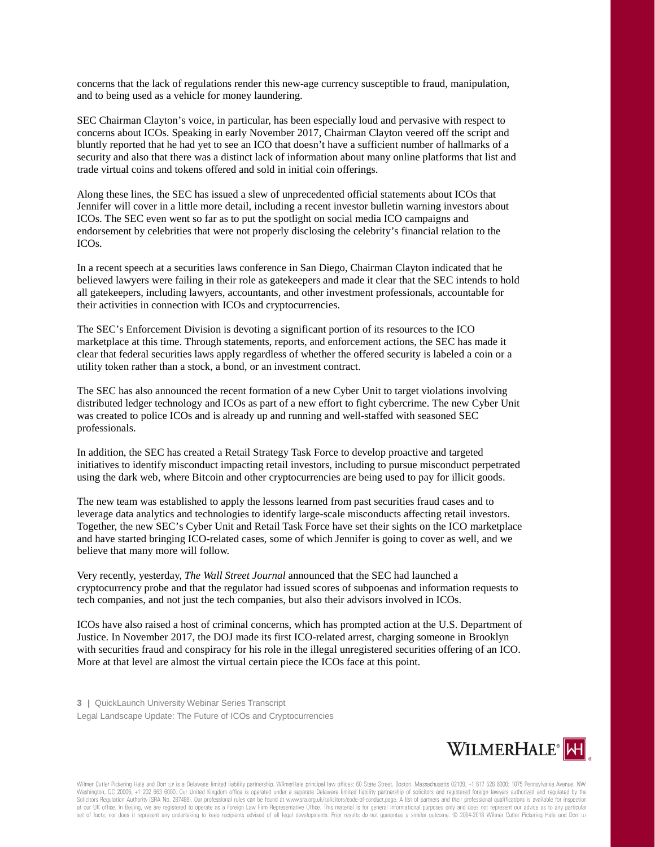concerns that the lack of regulations render this new-age currency susceptible to fraud, manipulation, and to being used as a vehicle for money laundering.

SEC Chairman Clayton's voice, in particular, has been especially loud and pervasive with respect to concerns about ICOs. Speaking in early November 2017, Chairman Clayton veered off the script and bluntly reported that he had yet to see an ICO that doesn't have a sufficient number of hallmarks of a security and also that there was a distinct lack of information about many online platforms that list and trade virtual coins and tokens offered and sold in initial coin offerings.

Along these lines, the SEC has issued a slew of unprecedented official statements about ICOs that Jennifer will cover in a little more detail, including a recent investor bulletin warning investors about ICOs. The SEC even went so far as to put the spotlight on social media ICO campaigns and endorsement by celebrities that were not properly disclosing the celebrity's financial relation to the ICOs.

In a recent speech at a securities laws conference in San Diego, Chairman Clayton indicated that he believed lawyers were failing in their role as gatekeepers and made it clear that the SEC intends to hold all gatekeepers, including lawyers, accountants, and other investment professionals, accountable for their activities in connection with ICOs and cryptocurrencies.

The SEC's Enforcement Division is devoting a significant portion of its resources to the ICO marketplace at this time. Through statements, reports, and enforcement actions, the SEC has made it clear that federal securities laws apply regardless of whether the offered security is labeled a coin or a utility token rather than a stock, a bond, or an investment contract.

The SEC has also announced the recent formation of a new Cyber Unit to target violations involving distributed ledger technology and ICOs as part of a new effort to fight cybercrime. The new Cyber Unit was created to police ICOs and is already up and running and well-staffed with seasoned SEC professionals.

In addition, the SEC has created a Retail Strategy Task Force to develop proactive and targeted initiatives to identify misconduct impacting retail investors, including to pursue misconduct perpetrated using the dark web, where Bitcoin and other cryptocurrencies are being used to pay for illicit goods.

The new team was established to apply the lessons learned from past securities fraud cases and to leverage data analytics and technologies to identify large-scale misconducts affecting retail investors. Together, the new SEC's Cyber Unit and Retail Task Force have set their sights on the ICO marketplace and have started bringing ICO-related cases, some of which Jennifer is going to cover as well, and we believe that many more will follow.

Very recently, yesterday, *The Wall Street Journal* announced that the SEC had launched a cryptocurrency probe and that the regulator had issued scores of subpoenas and information requests to tech companies, and not just the tech companies, but also their advisors involved in ICOs.

ICOs have also raised a host of criminal concerns, which has prompted action at the U.S. Department of Justice. In November 2017, the DOJ made its first ICO-related arrest, charging someone in Brooklyn with securities fraud and conspiracy for his role in the illegal unregistered securities offering of an ICO. More at that level are almost the virtual certain piece the ICOs face at this point.

**3 |** QuickLaunch University Webinar Series Transcript Legal Landscape Update: The Future of ICOs and Cryptocurrencies

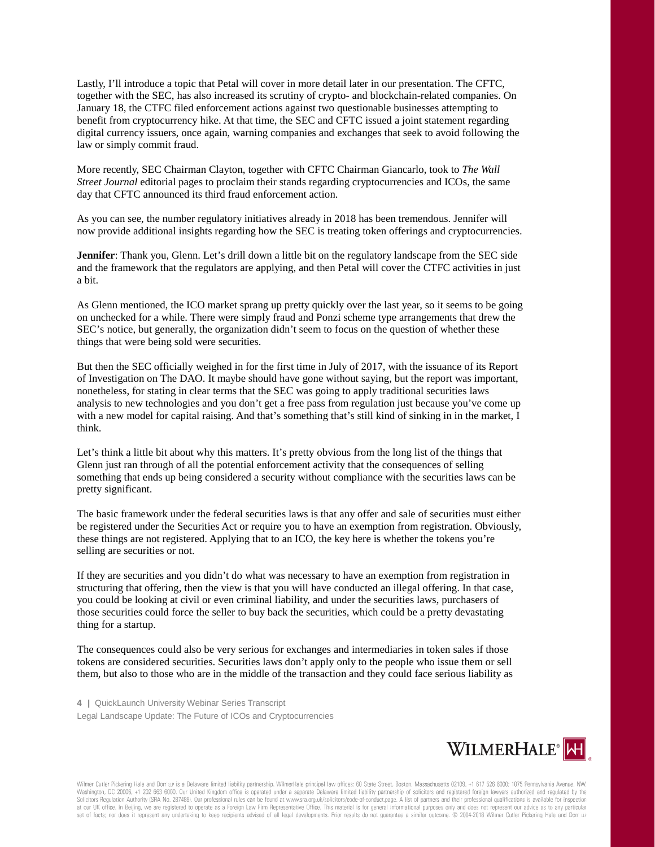Lastly, I'll introduce a topic that Petal will cover in more detail later in our presentation. The CFTC, together with the SEC, has also increased its scrutiny of crypto- and blockchain-related companies. On January 18, the CTFC filed enforcement actions against two questionable businesses attempting to benefit from cryptocurrency hike. At that time, the SEC and CFTC issued a joint statement regarding digital currency issuers, once again, warning companies and exchanges that seek to avoid following the law or simply commit fraud.

More recently, SEC Chairman Clayton, together with CFTC Chairman Giancarlo, took to *The Wall Street Journal* editorial pages to proclaim their stands regarding cryptocurrencies and ICOs, the same day that CFTC announced its third fraud enforcement action.

As you can see, the number regulatory initiatives already in 2018 has been tremendous. Jennifer will now provide additional insights regarding how the SEC is treating token offerings and cryptocurrencies.

**Jennifer**: Thank you, Glenn. Let's drill down a little bit on the regulatory landscape from the SEC side and the framework that the regulators are applying, and then Petal will cover the CTFC activities in just a bit.

As Glenn mentioned, the ICO market sprang up pretty quickly over the last year, so it seems to be going on unchecked for a while. There were simply fraud and Ponzi scheme type arrangements that drew the SEC's notice, but generally, the organization didn't seem to focus on the question of whether these things that were being sold were securities.

But then the SEC officially weighed in for the first time in July of 2017, with the issuance of its Report of Investigation on The DAO. It maybe should have gone without saying, but the report was important, nonetheless, for stating in clear terms that the SEC was going to apply traditional securities laws analysis to new technologies and you don't get a free pass from regulation just because you've come up with a new model for capital raising. And that's something that's still kind of sinking in in the market, I think.

Let's think a little bit about why this matters. It's pretty obvious from the long list of the things that Glenn just ran through of all the potential enforcement activity that the consequences of selling something that ends up being considered a security without compliance with the securities laws can be pretty significant.

The basic framework under the federal securities laws is that any offer and sale of securities must either be registered under the Securities Act or require you to have an exemption from registration. Obviously, these things are not registered. Applying that to an ICO, the key here is whether the tokens you're selling are securities or not.

If they are securities and you didn't do what was necessary to have an exemption from registration in structuring that offering, then the view is that you will have conducted an illegal offering. In that case, you could be looking at civil or even criminal liability, and under the securities laws, purchasers of those securities could force the seller to buy back the securities, which could be a pretty devastating thing for a startup.

The consequences could also be very serious for exchanges and intermediaries in token sales if those tokens are considered securities. Securities laws don't apply only to the people who issue them or sell them, but also to those who are in the middle of the transaction and they could face serious liability as

**4 |** QuickLaunch University Webinar Series Transcript Legal Landscape Update: The Future of ICOs and Cryptocurrencies

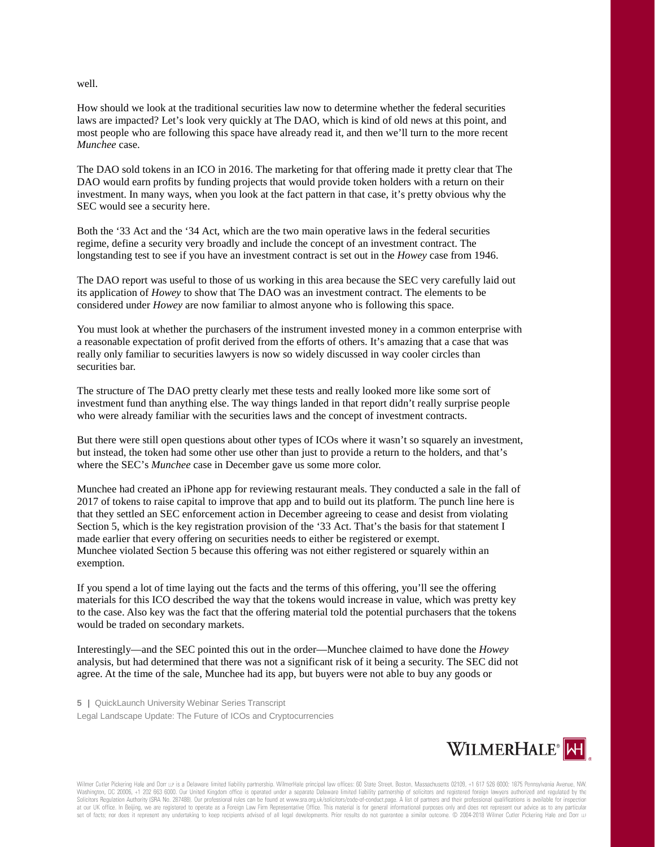well.

How should we look at the traditional securities law now to determine whether the federal securities laws are impacted? Let's look very quickly at The DAO, which is kind of old news at this point, and most people who are following this space have already read it, and then we'll turn to the more recent *Munchee* case.

The DAO sold tokens in an ICO in 2016. The marketing for that offering made it pretty clear that The DAO would earn profits by funding projects that would provide token holders with a return on their investment. In many ways, when you look at the fact pattern in that case, it's pretty obvious why the SEC would see a security here.

Both the '33 Act and the '34 Act, which are the two main operative laws in the federal securities regime, define a security very broadly and include the concept of an investment contract. The longstanding test to see if you have an investment contract is set out in the *Howey* case from 1946.

The DAO report was useful to those of us working in this area because the SEC very carefully laid out its application of *Howey* to show that The DAO was an investment contract. The elements to be considered under *Howey* are now familiar to almost anyone who is following this space.

You must look at whether the purchasers of the instrument invested money in a common enterprise with a reasonable expectation of profit derived from the efforts of others. It's amazing that a case that was really only familiar to securities lawyers is now so widely discussed in way cooler circles than securities bar.

The structure of The DAO pretty clearly met these tests and really looked more like some sort of investment fund than anything else. The way things landed in that report didn't really surprise people who were already familiar with the securities laws and the concept of investment contracts.

But there were still open questions about other types of ICOs where it wasn't so squarely an investment, but instead, the token had some other use other than just to provide a return to the holders, and that's where the SEC's *Munchee* case in December gave us some more color.

Munchee had created an iPhone app for reviewing restaurant meals. They conducted a sale in the fall of 2017 of tokens to raise capital to improve that app and to build out its platform. The punch line here is that they settled an SEC enforcement action in December agreeing to cease and desist from violating Section 5, which is the key registration provision of the '33 Act. That's the basis for that statement I made earlier that every offering on securities needs to either be registered or exempt. Munchee violated Section 5 because this offering was not either registered or squarely within an exemption.

If you spend a lot of time laying out the facts and the terms of this offering, you'll see the offering materials for this ICO described the way that the tokens would increase in value, which was pretty key to the case. Also key was the fact that the offering material told the potential purchasers that the tokens would be traded on secondary markets.

Interestingly—and the SEC pointed this out in the order—Munchee claimed to have done the *Howey* analysis, but had determined that there was not a significant risk of it being a security. The SEC did not agree. At the time of the sale, Munchee had its app, but buyers were not able to buy any goods or

**5 |** QuickLaunch University Webinar Series Transcript Legal Landscape Update: The Future of ICOs and Cryptocurrencies

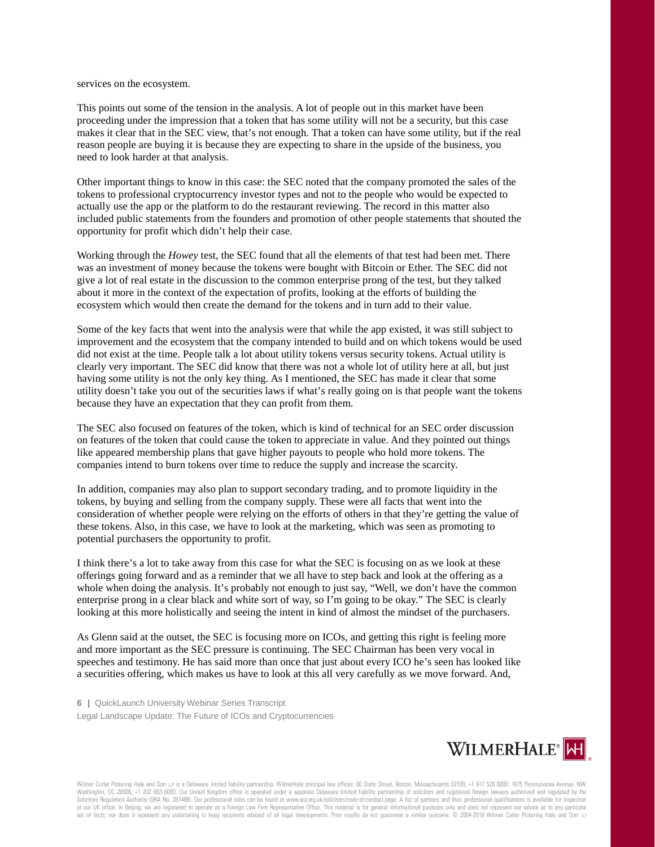services on the ecosystem.

This points out some of the tension in the analysis. A lot of people out in this market have been proceeding under the impression that a token that has some utility will not be a security, but this case makes it clear that in the SEC view, that's not enough. That a token can have some utility, but if the real reason people are buying it is because they are expecting to share in the upside of the business, you need to look harder at that analysis.

Other important things to know in this case: the SEC noted that the company promoted the sales of the tokens to professional cryptocurrency investor types and not to the people who would be expected to actually use the app or the platform to do the restaurant reviewing. The record in this matter also included public statements from the founders and promotion of other people statements that shouted the opportunity for profit which didn't help their case.

Working through the *Howey* test, the SEC found that all the elements of that test had been met. There was an investment of money because the tokens were bought with Bitcoin or Ether. The SEC did not give a lot of real estate in the discussion to the common enterprise prong of the test, but they talked about it more in the context of the expectation of profits, looking at the efforts of building the ecosystem which would then create the demand for the tokens and in turn add to their value.

Some of the key facts that went into the analysis were that while the app existed, it was still subject to improvement and the ecosystem that the company intended to build and on which tokens would be used did not exist at the time. People talk a lot about utility tokens versus security tokens. Actual utility is clearly very important. The SEC did know that there was not a whole lot of utility here at all, but just having some utility is not the only key thing. As I mentioned, the SEC has made it clear that some utility doesn't take you out of the securities laws if what's really going on is that people want the tokens because they have an expectation that they can profit from them.

The SEC also focused on features of the token, which is kind of technical for an SEC order discussion on features of the token that could cause the token to appreciate in value. And they pointed out things like appeared membership plans that gave higher payouts to people who hold more tokens. The companies intend to burn tokens over time to reduce the supply and increase the scarcity.

In addition, companies may also plan to support secondary trading, and to promote liquidity in the tokens, by buying and selling from the company supply. These were all facts that went into the consideration of whether people were relying on the efforts of others in that they're getting the value of these tokens. Also, in this case, we have to look at the marketing, which was seen as promoting to potential purchasers the opportunity to profit.

I think there's a lot to take away from this case for what the SEC is focusing on as we look at these offerings going forward and as a reminder that we all have to step back and look at the offering as a whole when doing the analysis. It's probably not enough to just say, "Well, we don't have the common enterprise prong in a clear black and white sort of way, so I'm going to be okay." The SEC is clearly looking at this more holistically and seeing the intent in kind of almost the mindset of the purchasers.

As Glenn said at the outset, the SEC is focusing more on ICOs, and getting this right is feeling more and more important as the SEC pressure is continuing. The SEC Chairman has been very vocal in speeches and testimony. He has said more than once that just about every ICO he's seen has looked like a securities offering, which makes us have to look at this all very carefully as we move forward. And,

**6 |** QuickLaunch University Webinar Series Transcript Legal Landscape Update: The Future of ICOs and Cryptocurrencies

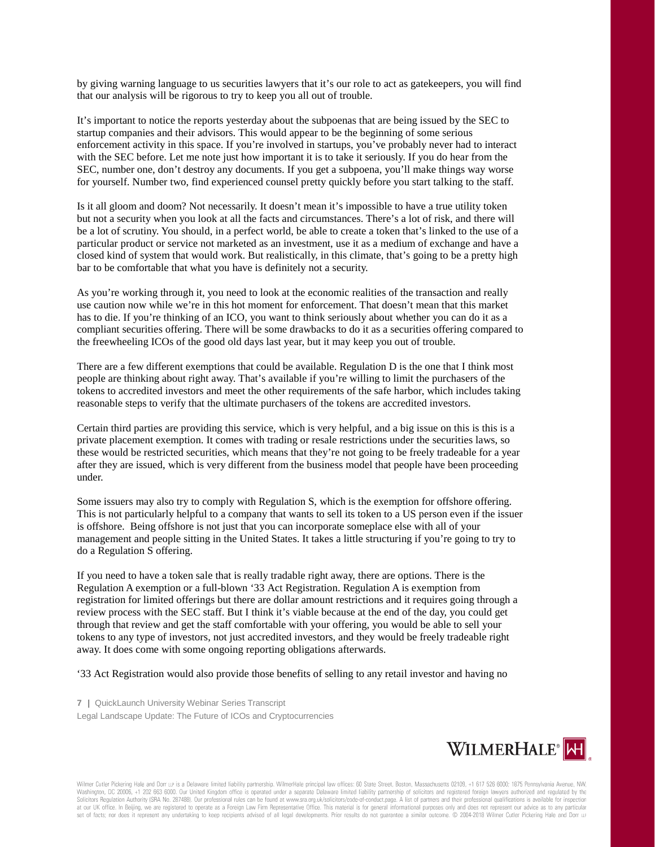by giving warning language to us securities lawyers that it's our role to act as gatekeepers, you will find that our analysis will be rigorous to try to keep you all out of trouble.

It's important to notice the reports yesterday about the subpoenas that are being issued by the SEC to startup companies and their advisors. This would appear to be the beginning of some serious enforcement activity in this space. If you're involved in startups, you've probably never had to interact with the SEC before. Let me note just how important it is to take it seriously. If you do hear from the SEC, number one, don't destroy any documents. If you get a subpoena, you'll make things way worse for yourself. Number two, find experienced counsel pretty quickly before you start talking to the staff.

Is it all gloom and doom? Not necessarily. It doesn't mean it's impossible to have a true utility token but not a security when you look at all the facts and circumstances. There's a lot of risk, and there will be a lot of scrutiny. You should, in a perfect world, be able to create a token that's linked to the use of a particular product or service not marketed as an investment, use it as a medium of exchange and have a closed kind of system that would work. But realistically, in this climate, that's going to be a pretty high bar to be comfortable that what you have is definitely not a security.

As you're working through it, you need to look at the economic realities of the transaction and really use caution now while we're in this hot moment for enforcement. That doesn't mean that this market has to die. If you're thinking of an ICO, you want to think seriously about whether you can do it as a compliant securities offering. There will be some drawbacks to do it as a securities offering compared to the freewheeling ICOs of the good old days last year, but it may keep you out of trouble.

There are a few different exemptions that could be available. Regulation D is the one that I think most people are thinking about right away. That's available if you're willing to limit the purchasers of the tokens to accredited investors and meet the other requirements of the safe harbor, which includes taking reasonable steps to verify that the ultimate purchasers of the tokens are accredited investors.

Certain third parties are providing this service, which is very helpful, and a big issue on this is this is a private placement exemption. It comes with trading or resale restrictions under the securities laws, so these would be restricted securities, which means that they're not going to be freely tradeable for a year after they are issued, which is very different from the business model that people have been proceeding under.

Some issuers may also try to comply with Regulation S, which is the exemption for offshore offering. This is not particularly helpful to a company that wants to sell its token to a US person even if the issuer is offshore. Being offshore is not just that you can incorporate someplace else with all of your management and people sitting in the United States. It takes a little structuring if you're going to try to do a Regulation S offering.

If you need to have a token sale that is really tradable right away, there are options. There is the Regulation A exemption or a full-blown '33 Act Registration. Regulation A is exemption from registration for limited offerings but there are dollar amount restrictions and it requires going through a review process with the SEC staff. But I think it's viable because at the end of the day, you could get through that review and get the staff comfortable with your offering, you would be able to sell your tokens to any type of investors, not just accredited investors, and they would be freely tradeable right away. It does come with some ongoing reporting obligations afterwards.

'33 Act Registration would also provide those benefits of selling to any retail investor and having no

**7 |** QuickLaunch University Webinar Series Transcript Legal Landscape Update: The Future of ICOs and Cryptocurrencies

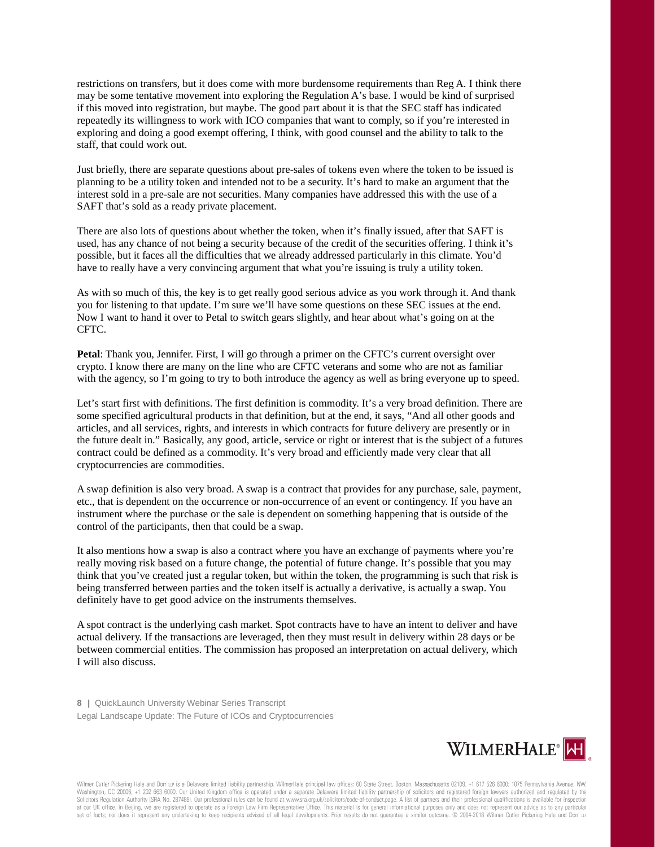restrictions on transfers, but it does come with more burdensome requirements than Reg A. I think there may be some tentative movement into exploring the Regulation A's base. I would be kind of surprised if this moved into registration, but maybe. The good part about it is that the SEC staff has indicated repeatedly its willingness to work with ICO companies that want to comply, so if you're interested in exploring and doing a good exempt offering, I think, with good counsel and the ability to talk to the staff, that could work out.

Just briefly, there are separate questions about pre-sales of tokens even where the token to be issued is planning to be a utility token and intended not to be a security. It's hard to make an argument that the interest sold in a pre-sale are not securities. Many companies have addressed this with the use of a SAFT that's sold as a ready private placement.

There are also lots of questions about whether the token, when it's finally issued, after that SAFT is used, has any chance of not being a security because of the credit of the securities offering. I think it's possible, but it faces all the difficulties that we already addressed particularly in this climate. You'd have to really have a very convincing argument that what you're issuing is truly a utility token.

As with so much of this, the key is to get really good serious advice as you work through it. And thank you for listening to that update. I'm sure we'll have some questions on these SEC issues at the end. Now I want to hand it over to Petal to switch gears slightly, and hear about what's going on at the CFTC.

**Petal**: Thank you, Jennifer. First, I will go through a primer on the CFTC's current oversight over crypto. I know there are many on the line who are CFTC veterans and some who are not as familiar with the agency, so I'm going to try to both introduce the agency as well as bring everyone up to speed.

Let's start first with definitions. The first definition is commodity. It's a very broad definition. There are some specified agricultural products in that definition, but at the end, it says, "And all other goods and articles, and all services, rights, and interests in which contracts for future delivery are presently or in the future dealt in." Basically, any good, article, service or right or interest that is the subject of a futures contract could be defined as a commodity. It's very broad and efficiently made very clear that all cryptocurrencies are commodities.

A swap definition is also very broad. A swap is a contract that provides for any purchase, sale, payment, etc., that is dependent on the occurrence or non-occurrence of an event or contingency. If you have an instrument where the purchase or the sale is dependent on something happening that is outside of the control of the participants, then that could be a swap.

It also mentions how a swap is also a contract where you have an exchange of payments where you're really moving risk based on a future change, the potential of future change. It's possible that you may think that you've created just a regular token, but within the token, the programming is such that risk is being transferred between parties and the token itself is actually a derivative, is actually a swap. You definitely have to get good advice on the instruments themselves.

A spot contract is the underlying cash market. Spot contracts have to have an intent to deliver and have actual delivery. If the transactions are leveraged, then they must result in delivery within 28 days or be between commercial entities. The commission has proposed an interpretation on actual delivery, which I will also discuss.

**8 |** QuickLaunch University Webinar Series Transcript Legal Landscape Update: The Future of ICOs and Cryptocurrencies

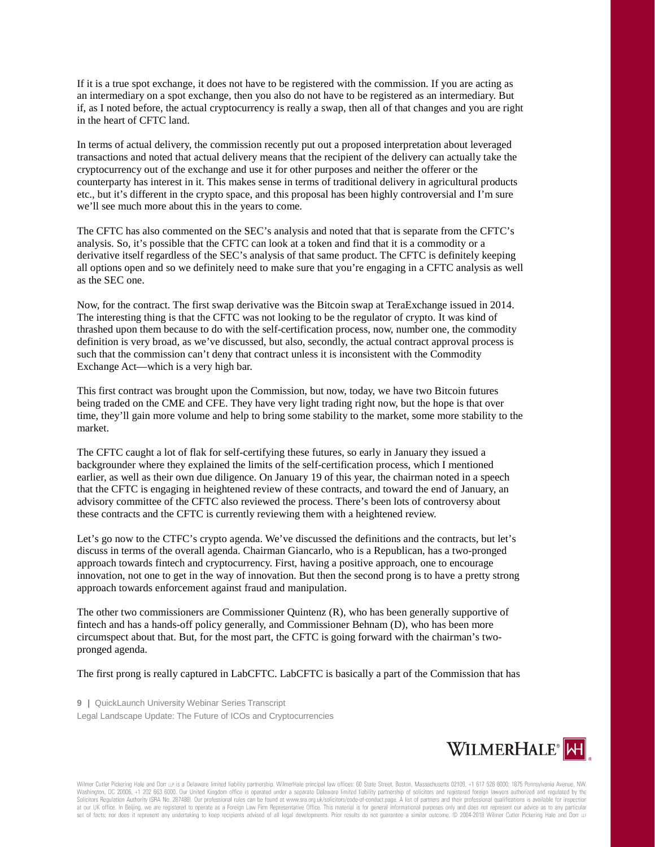If it is a true spot exchange, it does not have to be registered with the commission. If you are acting as an intermediary on a spot exchange, then you also do not have to be registered as an intermediary. But if, as I noted before, the actual cryptocurrency is really a swap, then all of that changes and you are right in the heart of CFTC land.

In terms of actual delivery, the commission recently put out a proposed interpretation about leveraged transactions and noted that actual delivery means that the recipient of the delivery can actually take the cryptocurrency out of the exchange and use it for other purposes and neither the offerer or the counterparty has interest in it. This makes sense in terms of traditional delivery in agricultural products etc., but it's different in the crypto space, and this proposal has been highly controversial and I'm sure we'll see much more about this in the years to come.

The CFTC has also commented on the SEC's analysis and noted that that is separate from the CFTC's analysis. So, it's possible that the CFTC can look at a token and find that it is a commodity or a derivative itself regardless of the SEC's analysis of that same product. The CFTC is definitely keeping all options open and so we definitely need to make sure that you're engaging in a CFTC analysis as well as the SEC one.

Now, for the contract. The first swap derivative was the Bitcoin swap at TeraExchange issued in 2014. The interesting thing is that the CFTC was not looking to be the regulator of crypto. It was kind of thrashed upon them because to do with the self-certification process, now, number one, the commodity definition is very broad, as we've discussed, but also, secondly, the actual contract approval process is such that the commission can't deny that contract unless it is inconsistent with the Commodity Exchange Act—which is a very high bar.

This first contract was brought upon the Commission, but now, today, we have two Bitcoin futures being traded on the CME and CFE. They have very light trading right now, but the hope is that over time, they'll gain more volume and help to bring some stability to the market, some more stability to the market.

The CFTC caught a lot of flak for self-certifying these futures, so early in January they issued a backgrounder where they explained the limits of the self-certification process, which I mentioned earlier, as well as their own due diligence. On January 19 of this year, the chairman noted in a speech that the CFTC is engaging in heightened review of these contracts, and toward the end of January, an advisory committee of the CFTC also reviewed the process. There's been lots of controversy about these contracts and the CFTC is currently reviewing them with a heightened review.

Let's go now to the CTFC's crypto agenda. We've discussed the definitions and the contracts, but let's discuss in terms of the overall agenda. Chairman Giancarlo, who is a Republican, has a two-pronged approach towards fintech and cryptocurrency. First, having a positive approach, one to encourage innovation, not one to get in the way of innovation. But then the second prong is to have a pretty strong approach towards enforcement against fraud and manipulation.

The other two commissioners are Commissioner Quintenz (R), who has been generally supportive of fintech and has a hands-off policy generally, and Commissioner Behnam (D), who has been more circumspect about that. But, for the most part, the CFTC is going forward with the chairman's twopronged agenda.

The first prong is really captured in LabCFTC. LabCFTC is basically a part of the Commission that has

**9 |** QuickLaunch University Webinar Series Transcript Legal Landscape Update: The Future of ICOs and Cryptocurrencies

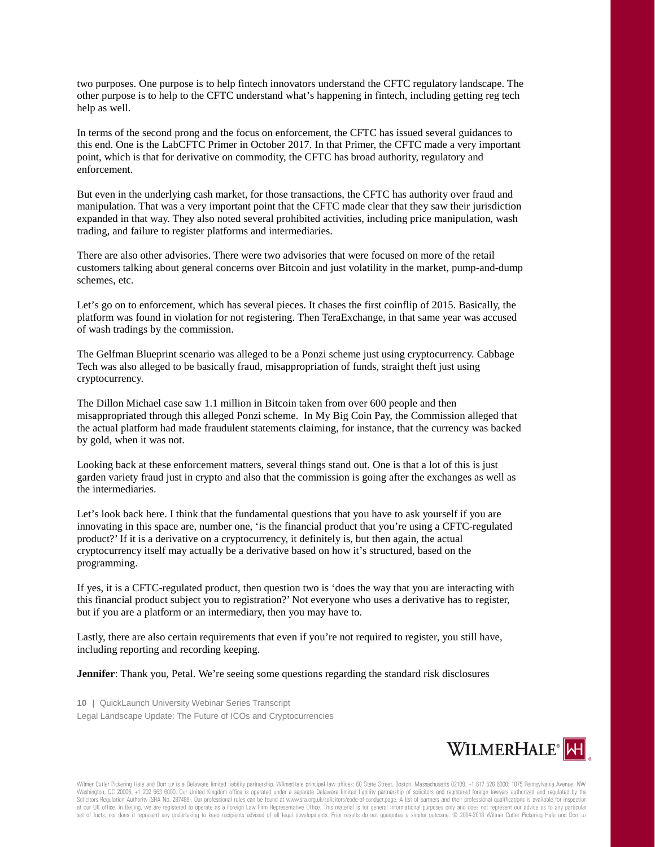two purposes. One purpose is to help fintech innovators understand the CFTC regulatory landscape. The other purpose is to help to the CFTC understand what's happening in fintech, including getting reg tech help as well.

In terms of the second prong and the focus on enforcement, the CFTC has issued several guidances to this end. One is the LabCFTC Primer in October 2017. In that Primer, the CFTC made a very important point, which is that for derivative on commodity, the CFTC has broad authority, regulatory and enforcement.

But even in the underlying cash market, for those transactions, the CFTC has authority over fraud and manipulation. That was a very important point that the CFTC made clear that they saw their jurisdiction expanded in that way. They also noted several prohibited activities, including price manipulation, wash trading, and failure to register platforms and intermediaries.

There are also other advisories. There were two advisories that were focused on more of the retail customers talking about general concerns over Bitcoin and just volatility in the market, pump-and-dump schemes, etc.

Let's go on to enforcement, which has several pieces. It chases the first coinflip of 2015. Basically, the platform was found in violation for not registering. Then TeraExchange, in that same year was accused of wash tradings by the commission.

The Gelfman Blueprint scenario was alleged to be a Ponzi scheme just using cryptocurrency. Cabbage Tech was also alleged to be basically fraud, misappropriation of funds, straight theft just using cryptocurrency.

The Dillon Michael case saw 1.1 million in Bitcoin taken from over 600 people and then misappropriated through this alleged Ponzi scheme. In My Big Coin Pay, the Commission alleged that the actual platform had made fraudulent statements claiming, for instance, that the currency was backed by gold, when it was not.

Looking back at these enforcement matters, several things stand out. One is that a lot of this is just garden variety fraud just in crypto and also that the commission is going after the exchanges as well as the intermediaries.

Let's look back here. I think that the fundamental questions that you have to ask yourself if you are innovating in this space are, number one, 'is the financial product that you're using a CFTC-regulated product?' If it is a derivative on a cryptocurrency, it definitely is, but then again, the actual cryptocurrency itself may actually be a derivative based on how it's structured, based on the programming.

If yes, it is a CFTC-regulated product, then question two is 'does the way that you are interacting with this financial product subject you to registration?' Not everyone who uses a derivative has to register, but if you are a platform or an intermediary, then you may have to.

Lastly, there are also certain requirements that even if you're not required to register, you still have, including reporting and recording keeping.

**Jennifer**: Thank you, Petal. We're seeing some questions regarding the standard risk disclosures

**10 |** QuickLaunch University Webinar Series Transcript Legal Landscape Update: The Future of ICOs and Cryptocurrencies

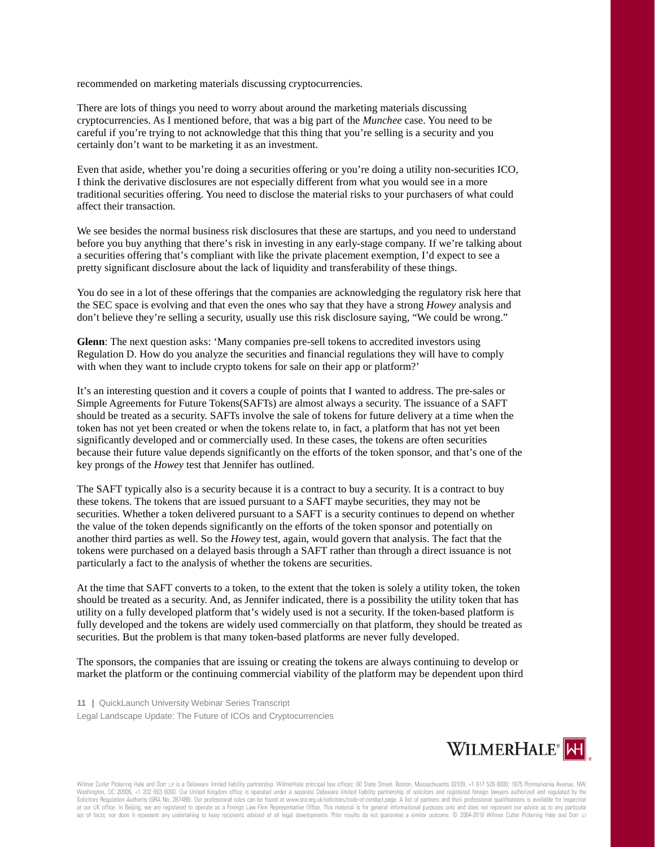recommended on marketing materials discussing cryptocurrencies.

There are lots of things you need to worry about around the marketing materials discussing cryptocurrencies. As I mentioned before, that was a big part of the *Munchee* case. You need to be careful if you're trying to not acknowledge that this thing that you're selling is a security and you certainly don't want to be marketing it as an investment.

Even that aside, whether you're doing a securities offering or you're doing a utility non-securities ICO, I think the derivative disclosures are not especially different from what you would see in a more traditional securities offering. You need to disclose the material risks to your purchasers of what could affect their transaction.

We see besides the normal business risk disclosures that these are startups, and you need to understand before you buy anything that there's risk in investing in any early-stage company. If we're talking about a securities offering that's compliant with like the private placement exemption, I'd expect to see a pretty significant disclosure about the lack of liquidity and transferability of these things.

You do see in a lot of these offerings that the companies are acknowledging the regulatory risk here that the SEC space is evolving and that even the ones who say that they have a strong *Howey* analysis and don't believe they're selling a security, usually use this risk disclosure saying, "We could be wrong."

**Glenn**: The next question asks: 'Many companies pre-sell tokens to accredited investors using Regulation D. How do you analyze the securities and financial regulations they will have to comply with when they want to include crypto tokens for sale on their app or platform?'

It's an interesting question and it covers a couple of points that I wanted to address. The pre-sales or Simple Agreements for Future Tokens(SAFTs) are almost always a security. The issuance of a SAFT should be treated as a security. SAFTs involve the sale of tokens for future delivery at a time when the token has not yet been created or when the tokens relate to, in fact, a platform that has not yet been significantly developed and or commercially used. In these cases, the tokens are often securities because their future value depends significantly on the efforts of the token sponsor, and that's one of the key prongs of the *Howey* test that Jennifer has outlined.

The SAFT typically also is a security because it is a contract to buy a security. It is a contract to buy these tokens. The tokens that are issued pursuant to a SAFT maybe securities, they may not be securities. Whether a token delivered pursuant to a SAFT is a security continues to depend on whether the value of the token depends significantly on the efforts of the token sponsor and potentially on another third parties as well. So the *Howey* test, again, would govern that analysis. The fact that the tokens were purchased on a delayed basis through a SAFT rather than through a direct issuance is not particularly a fact to the analysis of whether the tokens are securities.

At the time that SAFT converts to a token, to the extent that the token is solely a utility token, the token should be treated as a security. And, as Jennifer indicated, there is a possibility the utility token that has utility on a fully developed platform that's widely used is not a security. If the token-based platform is fully developed and the tokens are widely used commercially on that platform, they should be treated as securities. But the problem is that many token-based platforms are never fully developed.

The sponsors, the companies that are issuing or creating the tokens are always continuing to develop or market the platform or the continuing commercial viability of the platform may be dependent upon third

**11 |** QuickLaunch University Webinar Series Transcript Legal Landscape Update: The Future of ICOs and Cryptocurrencies

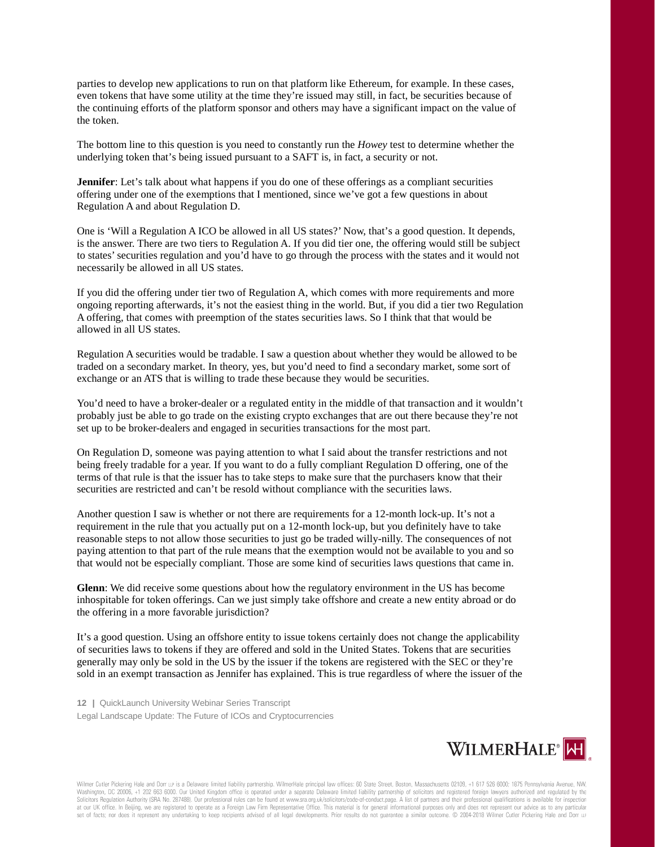parties to develop new applications to run on that platform like Ethereum, for example. In these cases, even tokens that have some utility at the time they're issued may still, in fact, be securities because of the continuing efforts of the platform sponsor and others may have a significant impact on the value of the token.

The bottom line to this question is you need to constantly run the *Howey* test to determine whether the underlying token that's being issued pursuant to a SAFT is, in fact, a security or not.

**Jennifer**: Let's talk about what happens if you do one of these offerings as a compliant securities offering under one of the exemptions that I mentioned, since we've got a few questions in about Regulation A and about Regulation D.

One is 'Will a Regulation A ICO be allowed in all US states?' Now, that's a good question. It depends, is the answer. There are two tiers to Regulation A. If you did tier one, the offering would still be subject to states'securities regulation and you'd have to go through the process with the states and it would not necessarily be allowed in all US states.

If you did the offering under tier two of Regulation A, which comes with more requirements and more ongoing reporting afterwards, it's not the easiest thing in the world. But, if you did a tier two Regulation A offering, that comes with preemption of the states securities laws. So I think that that would be allowed in all US states.

Regulation A securities would be tradable. I saw a question about whether they would be allowed to be traded on a secondary market. In theory, yes, but you'd need to find a secondary market, some sort of exchange or an ATS that is willing to trade these because they would be securities.

You'd need to have a broker-dealer or a regulated entity in the middle of that transaction and it wouldn't probably just be able to go trade on the existing crypto exchanges that are out there because they're not set up to be broker-dealers and engaged in securities transactions for the most part.

On Regulation D, someone was paying attention to what I said about the transfer restrictions and not being freely tradable for a year. If you want to do a fully compliant Regulation D offering, one of the terms of that rule is that the issuer has to take steps to make sure that the purchasers know that their securities are restricted and can't be resold without compliance with the securities laws.

Another question I saw is whether or not there are requirements for a 12-month lock-up. It's not a requirement in the rule that you actually put on a 12-month lock-up, but you definitely have to take reasonable steps to not allow those securities to just go be traded willy-nilly. The consequences of not paying attention to that part of the rule means that the exemption would not be available to you and so that would not be especially compliant. Those are some kind of securities laws questions that came in.

**Glenn**: We did receive some questions about how the regulatory environment in the US has become inhospitable for token offerings. Can we just simply take offshore and create a new entity abroad or do the offering in a more favorable jurisdiction?

It's a good question. Using an offshore entity to issue tokens certainly does not change the applicability of securities laws to tokens if they are offered and sold in the United States. Tokens that are securities generally may only be sold in the US by the issuer if the tokens are registered with the SEC or they're sold in an exempt transaction as Jennifer has explained. This is true regardless of where the issuer of the

**12 |** QuickLaunch University Webinar Series Transcript Legal Landscape Update: The Future of ICOs and Cryptocurrencies